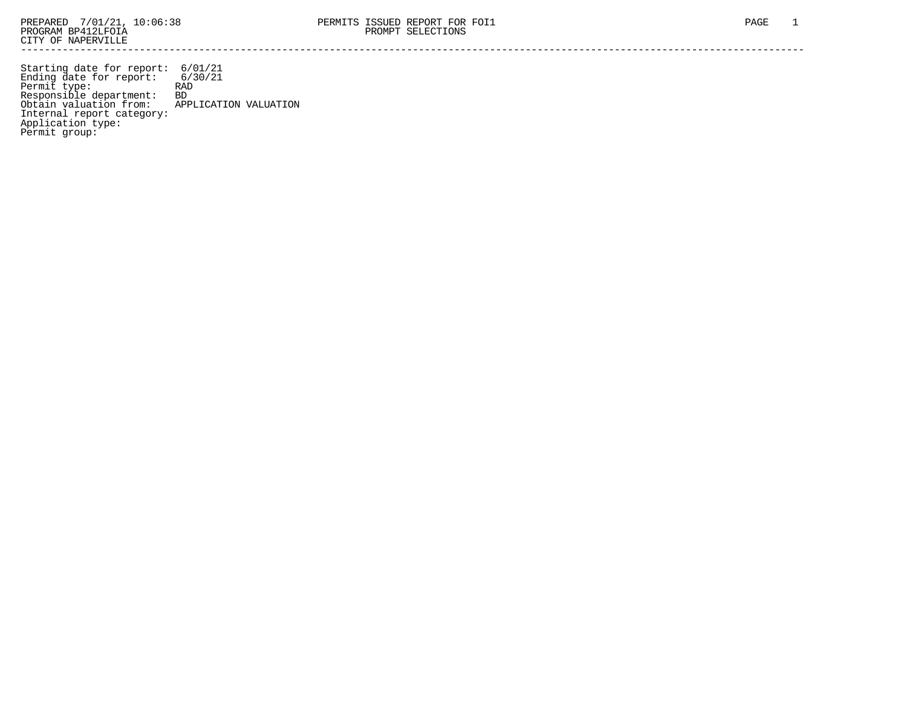Starting date for report: 6/01/21 Ending date for report: 6/30/21 Permit type: RAD Responsible department: BD Obtain valuation from: APPLICATION VALUATION Internal report category: Application type: Permit group: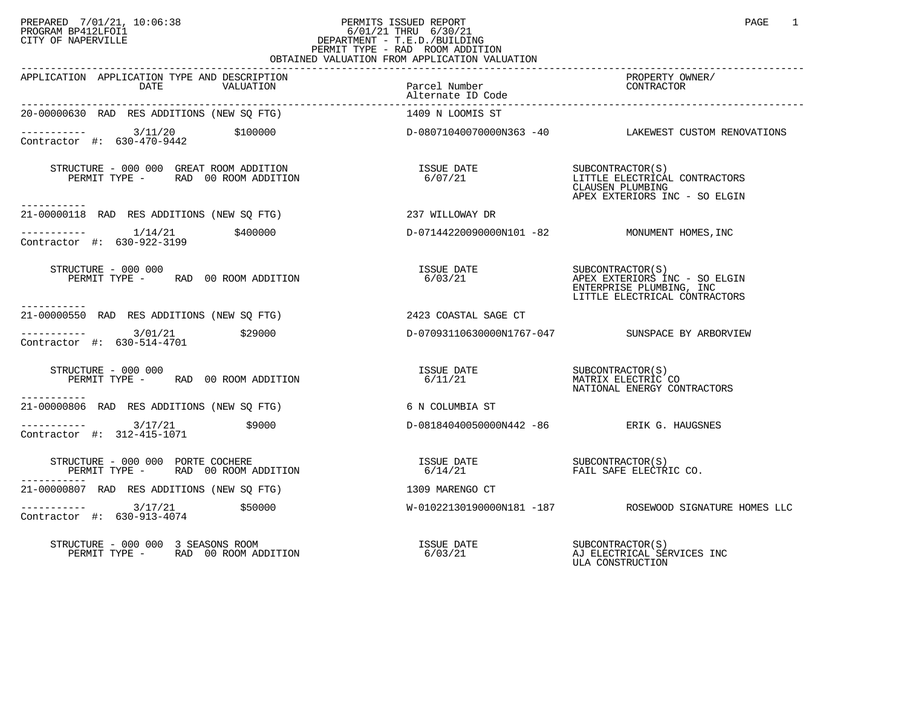# PREPARED 7/01/21, 10:06:38 PERMITS ISSUED REPORT PAGE 1 PROGRAM BP412LFOI1 6/01/21 THRU 6/30/21 CITY OF NAPERVILLE **Example 20** CITY OF NAPERVILLE PERMIT TYPE - RAD ROOM ADDITION OBTAINED VALUATION FROM APPLICATION VALUATION

| APPLICATION APPLICATION TYPE AND DESCRIPTION<br>DATE<br>VALUATION                                              | Parcel Number<br>Alternate ID Code        | PROPERTY OWNER/<br>CONTRACTOR                                                                          |
|----------------------------------------------------------------------------------------------------------------|-------------------------------------------|--------------------------------------------------------------------------------------------------------|
| 20-00000630 RAD RES ADDITIONS (NEW SQ FTG)                                                                     | 1409 N LOOMIS ST                          |                                                                                                        |
| $\frac{3}{11/20}$ \$100000<br>Contractor #: 630-470-9442                                                       |                                           | D-08071040070000N363 -40 LAKEWEST CUSTOM RENOVATIONS                                                   |
| ----------                                                                                                     | ISSUE DATE<br>6/07/21                     | SUBCONTRACTOR(S)<br>LITTLE ELECTRICAL CONTRACTORS<br>CLAUSEN PLUMBING<br>APEX EXTERIORS INC - SO ELGIN |
| 21-00000118 RAD RES ADDITIONS (NEW SQ FTG)<br>237 WILLOWAY DR                                                  |                                           |                                                                                                        |
| $\begin{array}{cccc}\n- & - & - & - & - - \\ \text{Contractor} & + & 630 - 922 - 3199 & & 400000\n\end{array}$ |                                           | D-07144220090000N101 -82 MONUMENT HOMES, INC                                                           |
| STRUCTURE - 000 000<br>PERMIT TYPE - RAD 00 ROOM ADDITION                                                      |                                           | ENTERPRISE PLUMBING, INC<br>LITTLE ELECTRICAL CONTRACTORS                                              |
| -----------<br>21-00000550 RAD RES ADDITIONS (NEW SQ FTG) 2423 COASTAL SAGE CT                                 |                                           |                                                                                                        |
| $------ 3/01/21$ \$29000<br>Contractor #: 630-514-4701                                                         |                                           | D-07093110630000N1767-047 SUNSPACE BY ARBORVIEW                                                        |
| STRUCTURE - 000 000<br>PERMIT TYPE - RAD 00 ROOM ADDITION<br>___________                                       | ISSUE DATE SUBCONTRACTOR(S)<br>6/11/21    | MATRIX ELECTRIC CO<br>NATIONAL ENERGY CONTRACTORS                                                      |
| 21-00000806 RAD RES ADDITIONS (NEW SQ FTG)                                                                     | 6 N COLUMBIA ST                           |                                                                                                        |
| $--------- 3/17/21$<br>\$9000<br>Contractor #: 312-415-1071                                                    | D-08184040050000N442 -86 ERIK G. HAUGSNES |                                                                                                        |
| STRUCTURE - 000 000 PORTE COCHERE<br>PERMIT TYPE - RAD 00 ROOM ADDITION                                        |                                           |                                                                                                        |
| 21-00000807 RAD RES ADDITIONS (NEW SO FTG)<br>1309 MARENGO CT                                                  |                                           |                                                                                                        |
| $---------2$ 3/17/21<br>\$50000<br>Contractor #: 630-913-4074                                                  |                                           | W-01022130190000N181 -187 ROSEWOOD SIGNATURE HOMES LLC                                                 |
| STRUCTURE - 000 000 3 SEASONS ROOM<br>PERMIT TYPE - RAD 00 ROOM ADDITION                                       | ISSUE DATE<br>6/03/21                     | SUBCONTRACTOR(S)<br>AJ ELECTRICAL SERVICES INC<br>ULA CONSTRUCTION                                     |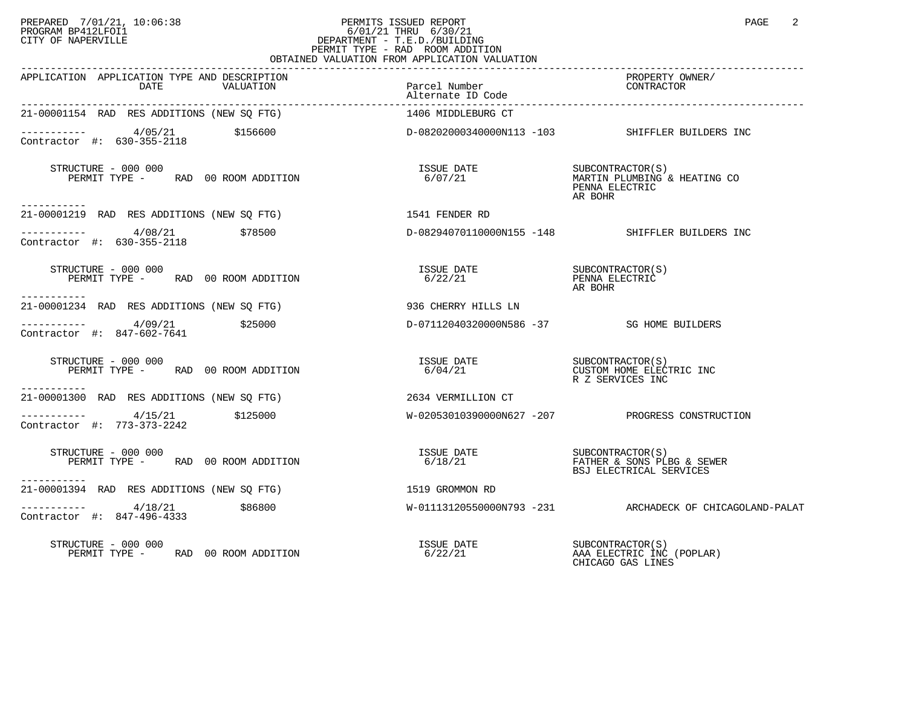# PREPARED 7/01/21, 10:06:38 PERMITS ISSUED REPORT PAGE 2 PROGRAM BP412LFOI1 6/01/21 THRU 6/30/21 CITY OF NAPERVILLE **Example 20** CITY OF NAPERVILLE PERMIT TYPE - RAD ROOM ADDITION OBTAINED VALUATION FROM APPLICATION VALUATION

| APPLICATION APPLICATION TYPE AND DESCRIPTION<br>DATE<br>VALUATION                            | Parcel Number<br>Alternate ID Code        | PROPERTY OWNER/<br>CONTRACTOR                                                 |
|----------------------------------------------------------------------------------------------|-------------------------------------------|-------------------------------------------------------------------------------|
| 21-00001154 RAD RES ADDITIONS (NEW SQ FTG)                                                   | 1406 MIDDLEBURG CT                        |                                                                               |
| $\frac{4}{05/21}$ \$156600<br>Survey to \$30-355-2118 \$156600<br>Contractor #: 630-355-2118 |                                           | D-08202000340000N113 -103 SHIFFLER BUILDERS INC                               |
| STRUCTURE - 000 000<br>PERMIT TYPE - RAD 00 ROOM ADDITION                                    | ISSUE DATE<br>6/07/21                     | SUBCONTRACTOR(S)<br>MARTIN PLUMBING & HEATING CO<br>PENNA ELECTRIC<br>AR BOHR |
| -----------<br>21-00001219 RAD RES ADDITIONS (NEW SO FTG)                                    | 1541 FENDER RD                            |                                                                               |
| $\frac{4}{08/21}$ \$78500<br>Contractor #: 630-355-2118                                      |                                           | D-08294070110000N155 -148 SHIFFLER BUILDERS INC                               |
| STRUCTURE - 000 000<br>PERMIT TYPE - RAD 00 ROOM ADDITION                                    | ISSUE DATE SUBCONTRACTOR(S)<br>6/22/21    | PENNA ELECTRIC<br>AR BOHR                                                     |
| -----------<br>21-00001234 RAD RES ADDITIONS (NEW SO FTG)                                    | 936 CHERRY HILLS LN                       |                                                                               |
| $---------$ 4/09/21 \$25000<br>Contractor #: 847-602-7641                                    | D-07112040320000N586 -37 SG HOME BUILDERS |                                                                               |
| STRUCTURE - 000 000<br>PERMIT TYPE - RAD 00 ROOM ADDITION<br>-----------                     | ISSUE DATE<br>C (0.4 / 21<br>6/04/21      | CUSTOM HOME ELECTRIC INC<br>R Z SERVICES INC                                  |
| 21-00001300 RAD RES ADDITIONS (NEW SO FTG)                                                   | 2634 VERMILLION CT                        |                                                                               |
| $-$ --------- $4/15/21$ \$125000<br>Contractor #: $773-373-2242$                             |                                           | $W-02053010390000N627 -207$ PROGRESS CONSTRUCTION                             |
| STRUCTURE - 000 000<br>PERMIT TYPE - RAD 00 ROOM ADDITION<br>----------                      | ISSUE DATE SUBCONTRACTOR(S)<br>6/18/21    | FATHER & SONS PLBG & SEWER<br>BSJ ELECTRICAL SERVICES                         |
| 21-00001394 RAD RES ADDITIONS (NEW SO FTG)                                                   | 1519 GROMMON RD                           |                                                                               |
| $--------$ 4/18/21<br>\$86800<br>Contractor #: 847-496-4333                                  |                                           | W-01113120550000N793 -231 ARCHADECK OF CHICAGOLAND-PALAT                      |
| STRUCTURE - 000 000<br>PERMIT TYPE - RAD 00 ROOM ADDITION                                    | ISSUE DATE<br>6/22/21                     | SUBCONTRACTOR (S)<br>AAA ELECTRIC INC (POPLAR)<br>CHICAGO GAS LINES           |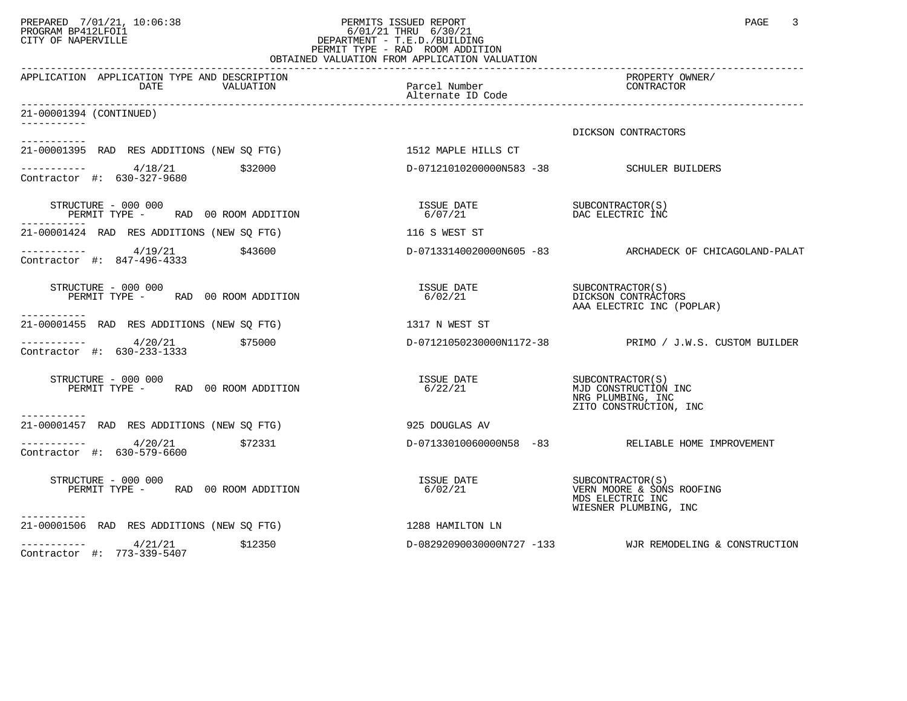# PREPARED 7/01/21, 10:06:38 PERMITS ISSUED REPORT PAGE 3<br>PROGRAM BP412LFOI1 PROGRAM PROGRAM BP412LFOI1 PROGRAM BP412LFOI1 6/01/21 THRU 6/30/21 CITY OF NAPERVILLE **Example 20** CITY OF NAPERVILLE PERMIT TYPE - RAD ROOM ADDITION OBTAINED VALUATION FROM APPLICATION VALUATION

| APPLICATION APPLICATION TYPE AND DESCRIPTION<br>DATE<br>VALUATION                                                       | Parcel Number                             | PROPERTY OWNER/<br>CONTRACTOR                                                           |
|-------------------------------------------------------------------------------------------------------------------------|-------------------------------------------|-----------------------------------------------------------------------------------------|
| 21-00001394 (CONTINUED)<br>. _ _ _ _ _ _ _ _ _ _                                                                        |                                           |                                                                                         |
|                                                                                                                         |                                           | DICKSON CONTRACTORS                                                                     |
| -----------<br>21-00001395 RAD RES ADDITIONS (NEW SQ FTG) 1512 MAPLE HILLS CT                                           |                                           |                                                                                         |
| -----------   4/18/21<br>Contractor #: 630-327-9680<br>\$32000                                                          | D-07121010200000N583 -38 SCHULER BUILDERS |                                                                                         |
| STRUCTURE - 000 000<br>PERMIT TYPE - RAD 00 ROOM ADDITION                                                               | ISSUE DATE SUBCONTRACTOR(S)<br>6/07/21    | DAC ELECTRIC INC                                                                        |
| 21-00001424 RAD RES ADDITIONS (NEW SQ FTG)                                                                              | 116 S WEST ST                             |                                                                                         |
| $-$ ---------- $4/19/21$ \$43600<br>Contractor #: 847-496-4333                                                          |                                           | D-07133140020000N605 -83 ARCHADECK OF CHICAGOLAND-PALAT                                 |
| STRUCTURE - 000 000<br>PERMIT TYPE - RAD 00 ROOM ADDITION<br>-----------                                                | ISSUE DATE SUBCONTRACTOR(S)<br>6/02/21    | DICKSON CONTRACTORS<br>AAA ELECTRIC INC (POPLAR)                                        |
| 21-00001455 RAD RES ADDITIONS (NEW SQ FTG)                                                                              | 1317 N WEST ST                            |                                                                                         |
| $--------- 4/20/21$<br>\$75000<br>Contractor #: 630-233-1333                                                            |                                           | D-07121050230000N1172-38 PRIMO / J.W.S. CUSTOM BUILDER                                  |
| STRUCTURE - 000 000<br>PERMIT TYPE - RAD 00 ROOM ADDITION                                                               | ISSUE DATE<br>6/22/21                     | SUBCONTRACTOR(S)<br>MJD CONSTRUCTION INC<br>NRG PLUMBING, INC<br>ZITO CONSTRUCTION, INC |
| -----------<br>21-00001457 RAD RES ADDITIONS (NEW SQ FTG)                                                               | 925 DOUGLAS AV                            |                                                                                         |
| $\frac{1}{2}$ $\frac{1}{2}$ $\frac{1}{2}$ $\frac{4}{20}$ $\frac{1}{21}$ $\frac{5}{22331}$<br>Contractor #: 630-579-6600 |                                           | D-07133010060000N58 -83 RELIABLE HOME IMPROVEMENT                                       |
| STRUCTURE - 000 000<br>PERMIT TYPE - RAD 00 ROOM ADDITION                                                               | ISSUE DATE SUBCONTRACTOR(S)<br>6/02/21    | VERN MOORE & SONS ROOFING<br>MDS ELECTRIC INC<br>WIESNER PLUMBING, INC                  |
| .<br>21-00001506 RAD RES ADDITIONS (NEW SO FTG)                                                                         | 1288 HAMILTON LN                          |                                                                                         |
| $       4/21/21$<br>\$12350<br>Contractor #: 773-339-5407                                                               |                                           | D-08292090030000N727 -133 WJR REMODELING & CONSTRUCTION                                 |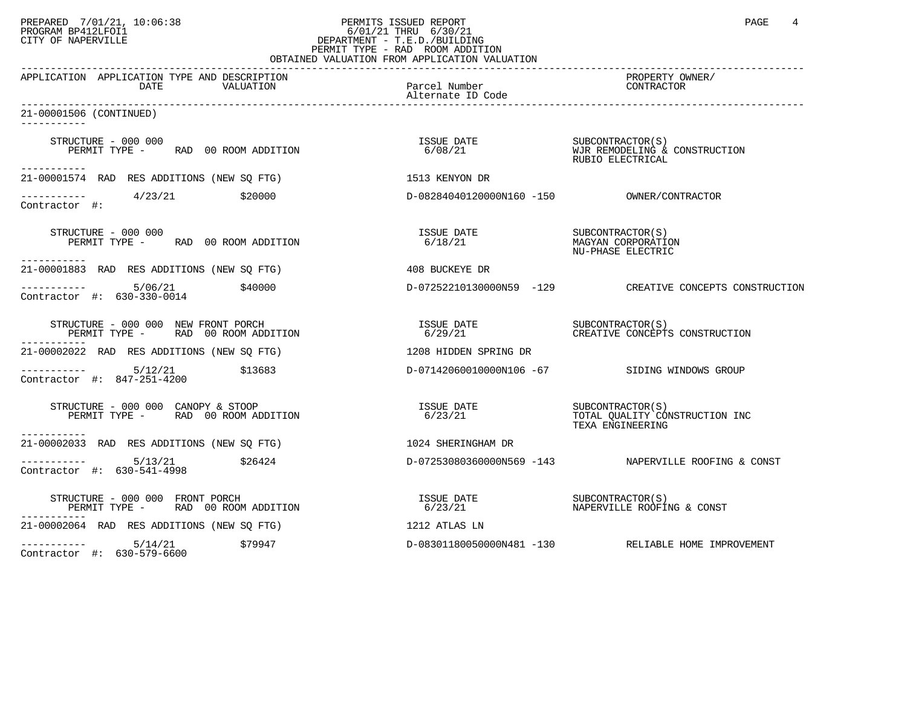# PREPARED 7/01/21, 10:06:38 PERMITS ISSUED REPORT PAGE 4 PROGRAM BP412LFOI1 PROGRAM BP412LFOI1 6/01/21 THRU 6/30/21 CITY OF NAPERVILLE **Example 20** CITY OF NAPERVILLE PERMIT TYPE - RAD ROOM ADDITION

|                                                                                                                                      | OBTAINED VALUATION FROM APPLICATION VALUATION                                                                            |                                                                        |
|--------------------------------------------------------------------------------------------------------------------------------------|--------------------------------------------------------------------------------------------------------------------------|------------------------------------------------------------------------|
| APPLICATION APPLICATION TYPE AND DESCRIPTION<br>DATE<br>VALUATION                                                                    | Parcel Number<br>Alternate ID Code                                                                                       | PROPERTY OWNER/<br>CONTRACTOR                                          |
| 21-00001506 (CONTINUED)                                                                                                              |                                                                                                                          |                                                                        |
| STRUCTURE - 000 000<br>PERMIT TYPE - RAD 00 ROOM ADDITION                                                                            | $\begin{tabular}{llll} \texttt{ISSUBCONTRACTOR(S)} \\ \texttt{6/08/21} & & & & \texttt{NJR REMODELING & & \end{tabular}$ | WJR REMODELING & CONSTRUCTION<br>RUBIO ELECTRICAL                      |
| 21-00001574 RAD RES ADDITIONS (NEW SQ FTG)                                                                                           | 1513 KENYON DR                                                                                                           |                                                                        |
| $\frac{1}{2}$ -----------<br>Contractor #: $\frac{4}{23/21}$<br>\$20000                                                              |                                                                                                                          |                                                                        |
| STRUCTURE - 000 000<br>PERMIT TYPE - RAD 00 ROOM ADDITION<br>-----------                                                             | ISSUE DATE SUBCONTRACTOR(S)<br>6/18/21                                                                                   | MAGYAN CORPORATION<br>NU-PHASE ELECTRIC                                |
| 21-00001883 RAD RES ADDITIONS (NEW SQ FTG)                                                                                           | 408 BUCKEYE DR                                                                                                           |                                                                        |
| 5/06/21<br>\$40000<br>Contractor #: 630-330-0014                                                                                     |                                                                                                                          | D-07252210130000N59 -129 CREATIVE CONCEPTS CONSTRUCTION                |
| STRUCTURE - 000 000 NEW FRONT PORCH<br>PERMIT TYPE - RAD 00 ROOM ADDITION                                                            |                                                                                                                          |                                                                        |
| 21-00002022 RAD RES ADDITIONS (NEW SQ FTG)                                                                                           | 1208 HIDDEN SPRING DR                                                                                                    |                                                                        |
| $--------- 5/12/21$ \$13683<br>Contractor #: 847-251-4200                                                                            |                                                                                                                          | D-07142060010000N106 -67 SIDING WINDOWS GROUP                          |
| STRUCTURE - 000 000 CANOPY & STOOP<br>PERMIT TYPE - RAD 00 ROOM ADDITION 6/23/21<br>PERMIT TYPE - RAD 00 ROOM ADDITION<br>---------- | 6/23/21                                                                                                                  | SUBCONTRACTOR(S)<br>TOTAL QUALITY CONSTRUCTION INC<br>TEXA ENGINEERING |
| 21-00002033 RAD RES ADDITIONS (NEW SQ FTG)                                                                                           | 1024 SHERINGHAM DR                                                                                                       |                                                                        |
| \$26424<br>Contractor #: 630-541-4998                                                                                                |                                                                                                                          | D-07253080360000N569 -143 NAPERVILLE ROOFING & CONST                   |
| STRUCTURE - 000 000 FRONT PORCH<br>PERMIT TYPE - RAD 00 ROOM ADDITION<br>----------                                                  | ISSUE DATE<br>6/23/21                                                                                                    | SUBCONTRACTOR(S)<br>NAPERVILLE ROOFING & CONST                         |
| 21-00002064 RAD RES ADDITIONS (NEW SQ FTG)                                                                                           | 1212 ATLAS LN                                                                                                            |                                                                        |
| $--------- 5/14/21$<br>\$79947<br>Contractor #: 630-579-6600                                                                         |                                                                                                                          | D-08301180050000N481 -130 RELIABLE HOME IMPROVEMENT                    |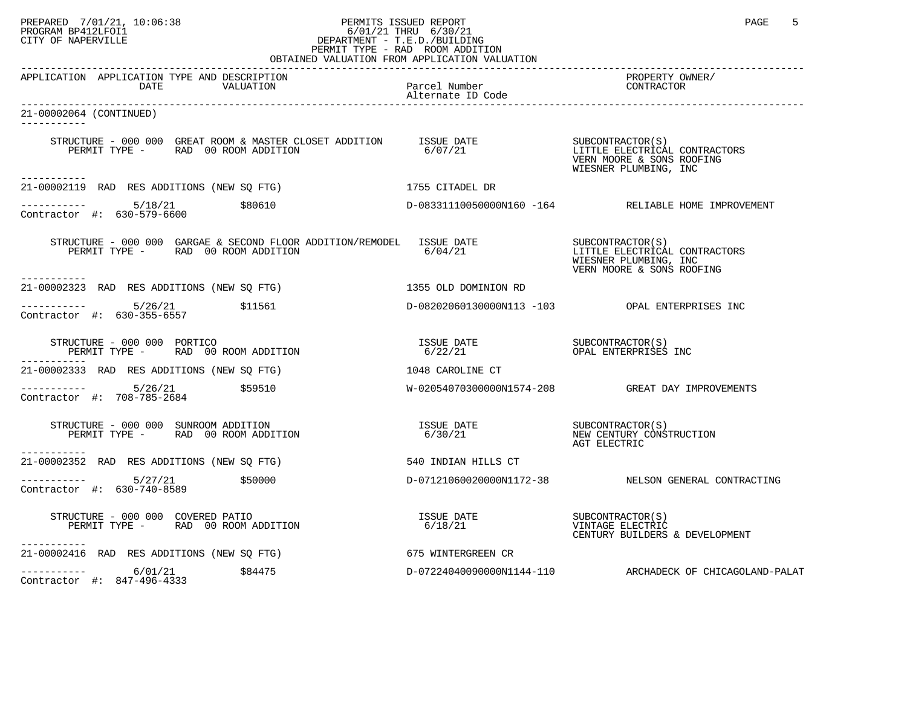#### PREPARED 7/01/21, 10:06:38 PERMITS ISSUED REPORT PAGE 5<br>PROGRAM BP412LFOI1 PROGRAM BP412LFOI1 PROGRAM BP412LFOI1 6/01/21 THRU 6/30/21 CITY OF NAPERVILLE **Example 20** CITY OF NAPERVILLE PERMIT TYPE - RAD ROOM ADDITION OBTAINED VALUATION FROM APPLICATION VALUATION

| APPLICATION APPLICATION TYPE AND DESCRIPTION<br>DATE<br>VALUATION                                                                                                      | Parcel Number<br>Alternate ID Code | PROPERTY OWNER/<br>CONTRACTOR                                                                           |
|------------------------------------------------------------------------------------------------------------------------------------------------------------------------|------------------------------------|---------------------------------------------------------------------------------------------------------|
| 21-00002064 (CONTINUED)                                                                                                                                                |                                    |                                                                                                         |
| STRUCTURE - 000 000 GREAT ROOM & MASTER CLOSET ADDITION ISSUE DATE<br>PERMIT TYPE - RAD 00 ROOM ADDITION 6/07/21<br>-----------                                        |                                    | SUBCONTRACTOR(S)<br>LITTLE ELECTRICAL CONTRACTORS<br>VERN MOORE & SONS ROOFING<br>WIESNER PLUMBING, INC |
| 21-00002119 RAD RES ADDITIONS (NEW SO FTG)                                                                                                                             | 1755 CITADEL DR                    |                                                                                                         |
| $--------- 5/18/21$<br>\$80610<br>Contractor #: 630-579-6600                                                                                                           |                                    | D-08331110050000N160 -164 RELIABLE HOME IMPROVEMENT                                                     |
| STRUCTURE - 000 000 GARGAE & SECOND FLOOR ADDITION/REMODEL ISSUE DATE<br>PERMIT TYPE - RAD 00 ROOM ADDITION 6/04/21 1990 1117TLE ELECTRICAL CONTRACTORS<br>----------- |                                    | WIESNER PLUMBING, INC<br>VERN MOORE & SONS ROOFING                                                      |
| 21-00002323 RAD RES ADDITIONS (NEW SQ FTG)                                                                                                                             | 1355 OLD DOMINION RD               |                                                                                                         |
| $\frac{1}{2}$ ----------- 5/26/21 \$11561<br>Contractor #: 630-355-6557                                                                                                |                                    | D-08202060130000N113 -103 OPAL ENTERPRISES INC                                                          |
| STRUCTURE - 000 000 PORTICO<br>PERMIT TYPE - RAD 00 ROOM ADDITION                                                                                                      |                                    |                                                                                                         |
| 21-00002333 RAD RES ADDITIONS (NEW SQ FTG)                                                                                                                             | 1048 CAROLINE CT                   |                                                                                                         |
| $--------- 5/26/21$ \$59510<br>Contractor #: 708-785-2684                                                                                                              |                                    | W-02054070300000N1574-208 GREAT DAY IMPROVEMENTS                                                        |
| STRUCTURE - 000 000 SUNROOM ADDITION<br>PERMIT TYPE - RAD 00 ROOM ADDITION                                                                                             |                                    | AGT ELECTRIC                                                                                            |
| -----------<br>21-00002352 RAD RES ADDITIONS (NEW SO FTG)                                                                                                              | 540 INDIAN HILLS CT                |                                                                                                         |
| -----------  5/27/21<br>\$50000<br>Contractor #: 630-740-8589                                                                                                          |                                    | D-07121060020000N1172-38 NELSON GENERAL CONTRACTING                                                     |
| $STRUCTURE - 000 000 COVERED PATHO$<br>PERMIT TYPE - RAD 00 ROOM ADDITION<br>-----------                                                                               |                                    | VINTAGE ELECTRIC<br>CENTURY BUILDERS & DEVELOPMENT                                                      |
| 21-00002416 RAD RES ADDITIONS (NEW SQ FTG)                                                                                                                             | 675 WINTERGREEN CR                 |                                                                                                         |
| $--------- 6/01/21$<br>\$84475<br>Contractor #: 847-496-4333                                                                                                           |                                    | D-07224040090000N1144-110 ARCHADECK OF CHICAGOLAND-PALAT                                                |